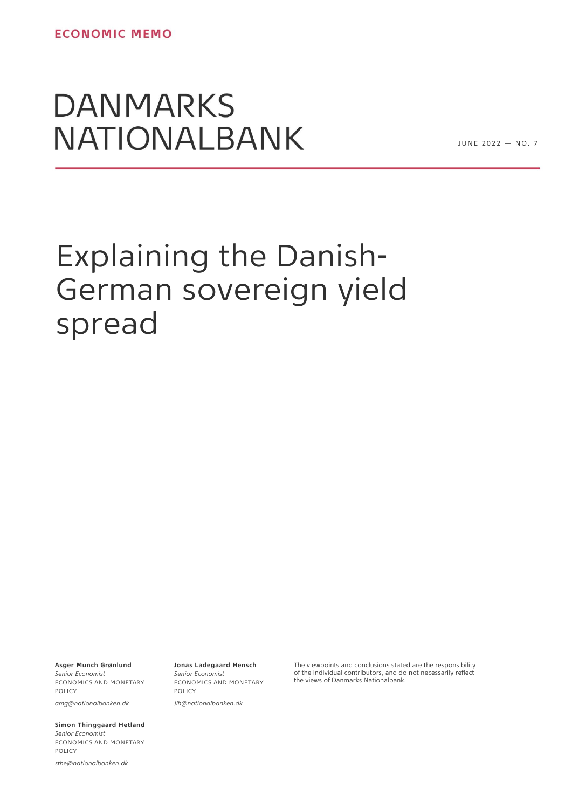## **DANMARKS** NATIONALBANK

JUNE 2022 - NO. 7

# Explaining the Danish-German sovereign yield spread

**Asger Munch Grønlund**

*Senior Economist* ECONOMICS AND MONETARY **POLICY** *amg@nationalbanken.dk*

**Simon Thinggaard Hetland** *Senior Economist* ECONOMICS AND MONETARY POLICY

*sthe@nationalbanken.dk*

**Jonas Ladegaard Hensch** *Senior Economist* ECONOMICS AND MONETARY **POLICY** 

*Jlh@nationalbanken.dk*

The viewpoints and conclusions stated are the responsibility of the individual contributors, and do not necessarily reflect the views of Danmarks Nationalbank.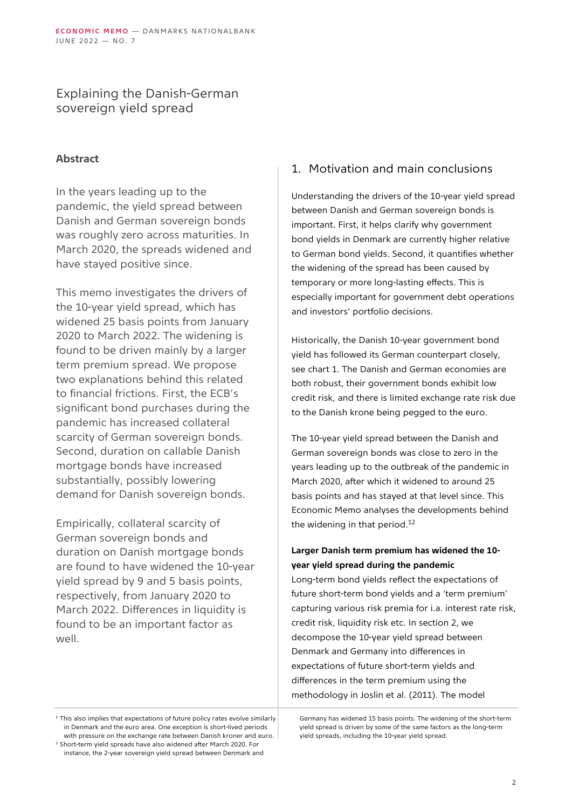## Explaining the Danish-German sovereign yield spread

## **Abstract**

In the years leading up to the pandemic, the yield spread between Danish and German sovereign bonds was roughly zero across maturities. In March 2020, the spreads widened and have stayed positive since.

This memo investigates the drivers of the 10-year yield spread, which has widened 25 basis points from January 2020 to March 2022. The widening is found to be driven mainly by a larger term premium spread. We propose two explanations behind this related to financial frictions. First, the ECB's significant bond purchases during the pandemic has increased collateral scarcity of German sovereign bonds. Second, duration on callable Danish mortgage bonds have increased substantially, possibly lowering demand for Danish sovereign bonds.

Empirically, collateral scarcity of German sovereign bonds and duration on Danish mortgage bonds are found to have widened the 10-year yield spread by 9 and 5 basis points, respectively, from January 2020 to March 2022. Differences in liquidity is found to be an important factor as well.

## 1. Motivation and main conclusions

Understanding the drivers of the 10-year yield spread between Danish and German sovereign bonds is important. First, it helps clarify why government bond yields in Denmark are currently higher relative to German bond yields. Second, it quantifies whether the widening of the spread has been caused by temporary or more long-lasting effects. This is especially important for government debt operations and investors' portfolio decisions.

Historically, the Danish 10-year government bond yield has followed its German counterpart closely, see chart 1. The Danish and German economies are both robust, their government bonds exhibit low credit risk, and there is limited exchange rate risk due to the Danish krone being pegged to the euro.

The 10-year yield spread between the Danish and German sovereign bonds was close to zero in the years leading up to the outbreak of the pandemic in March 2020, after which it widened to around 25 basis points and has stayed at that level since. This Economic Memo analyses the developments behind the widening in that period.<sup>12</sup>

## **Larger Danish term premium has widened the 10 year yield spread during the pandemic**

Long-term bond yields reflect the expectations of future short-term bond yields and a 'term premium' capturing various risk premia for i.a. interest rate risk, credit risk, liquidity risk etc. In section 2, we decompose the 10-year yield spread between Denmark and Germany into differences in expectations of future short-term yields and differences in the term premium using the methodology in Joslin et al. (2011). The model

<sup>2</sup> Short-term yield spreads have also widened after March 2020. For instance, the 2-year sovereign yield spread between Denmark and Germany has widened 15 basis points. The widening of the short-term yield spread is driven by some of the same factors as the long-term yield spreads, including the 10-year yield spread.

 $1$  This also implies that expectations of future policy rates evolve similarly in Denmark and the euro area. One exception is short-lived periods with pressure on the exchange rate between Danish kroner and euro.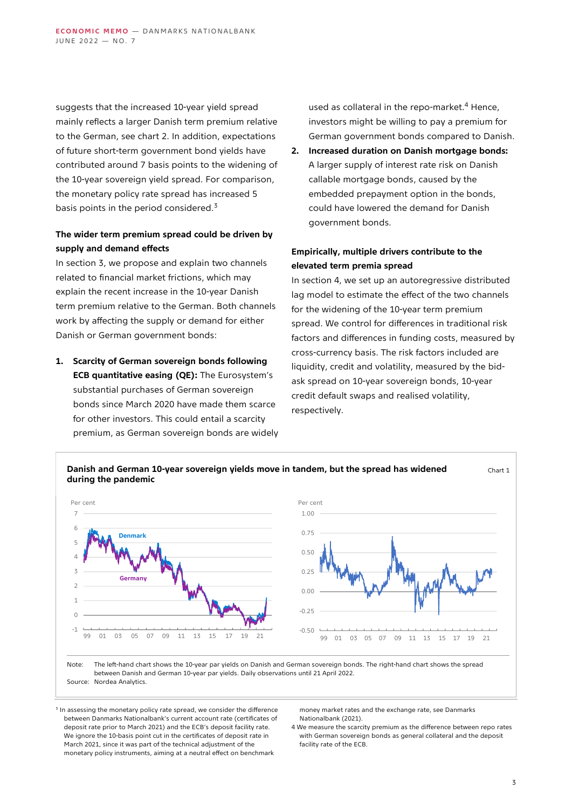suggests that the increased 10-year yield spread mainly reflects a larger Danish term premium relative to the German, see chart 2. In addition, expectations of future short-term government bond yields have contributed around 7 basis points to the widening of the 10-year sovereign yield spread. For comparison, the monetary policy rate spread has increased 5 basis points in the period considered. $3$ 

## **The wider term premium spread could be driven by supply and demand effects**

In section 3, we propose and explain two channels related to financial market frictions, which may explain the recent increase in the 10-year Danish term premium relative to the German. Both channels work by affecting the supply or demand for either Danish or German government bonds:

**1. Scarcity of German sovereign bonds following ECB quantitative easing (QE):** The Eurosystem's substantial purchases of German sovereign bonds since March 2020 have made them scarce for other investors. This could entail a scarcity premium, as German sovereign bonds are widely used as collateral in the repo-market.<sup>4</sup> Hence, investors might be willing to pay a premium for German government bonds compared to Danish.

**2. Increased duration on Danish mortgage bonds:** A larger supply of interest rate risk on Danish callable mortgage bonds, caused by the embedded prepayment option in the bonds, could have lowered the demand for Danish government bonds.

## **Empirically, multiple drivers contribute to the elevated term premia spread**

In section 4, we set up an autoregressive distributed lag model to estimate the effect of the two channels for the widening of the 10-year term premium spread. We control for differences in traditional risk factors and differences in funding costs, measured by cross-currency basis. The risk factors included are liquidity, credit and volatility, measured by the bidask spread on 10-year sovereign bonds, 10-year credit default swaps and realised volatility, respectively.



Source: Nordea Analytics.

<sup>3</sup> In assessing the monetary policy rate spread, we consider the difference between Danmarks Nationalbank's current account rate (certificates of deposit rate prior to March 2021) and the ECB's deposit facility rate. We ignore the 10-basis point cut in the certificates of deposit rate in March 2021, since it was part of the technical adjustment of the monetary policy instruments, aiming at a neutral effect on benchmark

money market rates and the exchange rate, see Danmarks Nationalbank (2021).

4 We measure the scarcity premium as the difference between repo rates with German sovereign bonds as general collateral and the deposit facility rate of the ECB.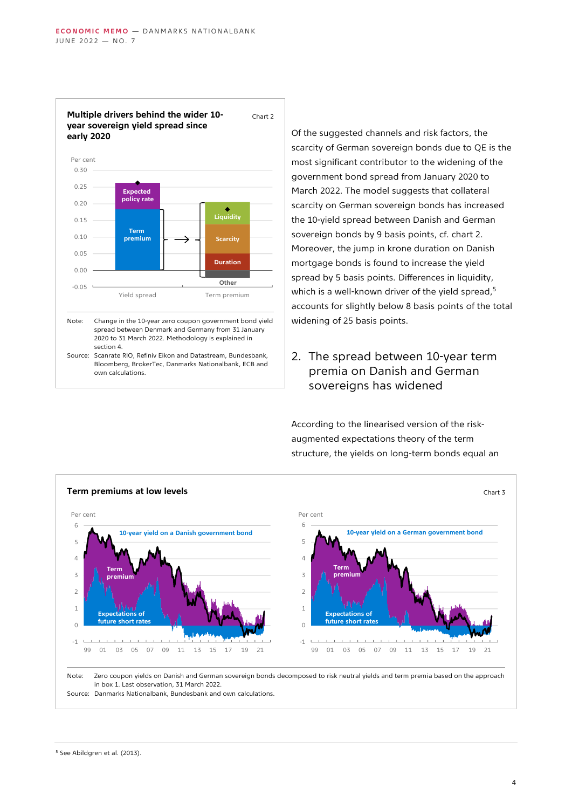

**Multiple drivers behind the wider 10 year sovereign yield spread since**  Chart 2

Of the suggested channels and risk factors, the scarcity of German sovereign bonds due to QE is the most significant contributor to the widening of the government bond spread from January 2020 to March 2022. The model suggests that collateral scarcity on German sovereign bonds has increased the 10-yield spread between Danish and German sovereign bonds by 9 basis points, cf. chart 2. Moreover, the jump in krone duration on Danish mortgage bonds is found to increase the yield spread by 5 basis points. Differences in liquidity, which is a well-known driver of the yield spread,<sup>5</sup> accounts for slightly below 8 basis points of the total widening of 25 basis points.

2. The spread between 10-year term premia on Danish and German sovereigns has widened

According to the linearised version of the riskaugmented expectations theory of the term structure, the yields on long-term bonds equal an

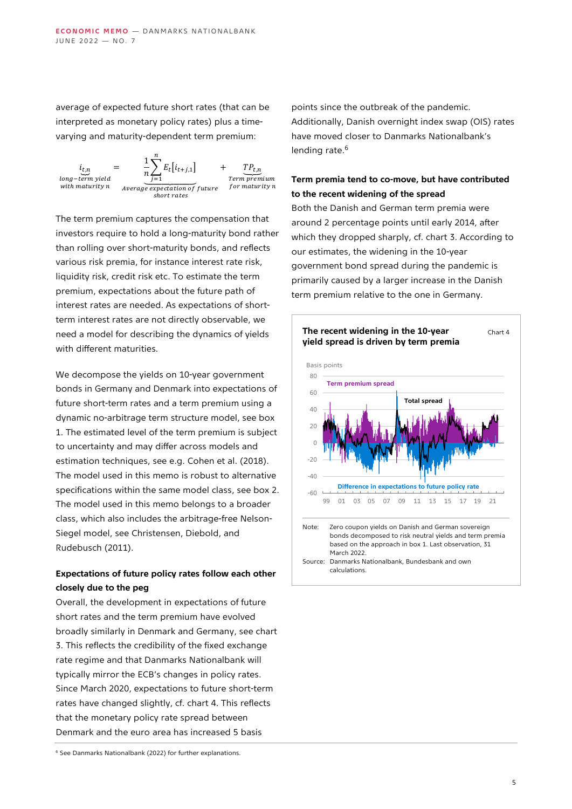average of expected future short rates (that can be interpreted as monetary policy rates) plus a timevarying and maturity-dependent term premium:



The term premium captures the compensation that investors require to hold a long-maturity bond rather than rolling over short-maturity bonds, and reflects various risk premia, for instance interest rate risk, liquidity risk, credit risk etc. To estimate the term premium, expectations about the future path of interest rates are needed. As expectations of shortterm interest rates are not directly observable, we need a model for describing the dynamics of yields with different maturities.

We decompose the vields on 10-year government bonds in Germany and Denmark into expectations of future short-term rates and a term premium using a dynamic no-arbitrage term structure model, see box 1. The estimated level of the term premium is subject to uncertainty and may differ across models and estimation techniques, see e.g. Cohen et al. (2018). The model used in this memo is robust to alternative specifications within the same model class, see box 2. The model used in this memo belongs to a broader class, which also includes the arbitrage-free Nelson-Siegel model, see Christensen, Diebold, and Rudebusch (2011).

## **Expectations of future policy rates follow each other closely due to the peg**

Overall, the development in expectations of future short rates and the term premium have evolved broadly similarly in Denmark and Germany, see chart 3. This reflects the credibility of the fixed exchange rate regime and that Danmarks Nationalbank will typically mirror the ECB's changes in policy rates. Since March 2020, expectations to future short-term rates have changed slightly, cf. chart 4. This reflects that the monetary policy rate spread between Denmark and the euro area has increased 5 basis

points since the outbreak of the pandemic. Additionally, Danish overnight index swap (OIS) rates have moved closer to Danmarks Nationalbank's lending rate.<sup>6</sup>

## **Term premia tend to co-move, but have contributed to the recent widening of the spread**

Both the Danish and German term premia were around 2 percentage points until early 2014, after which they dropped sharply, cf. chart 3. According to our estimates, the widening in the 10-year government bond spread during the pandemic is primarily caused by a larger increase in the Danish term premium relative to the one in Germany.



 $6$  See Danmarks Nationalbank (2022) for further explanations.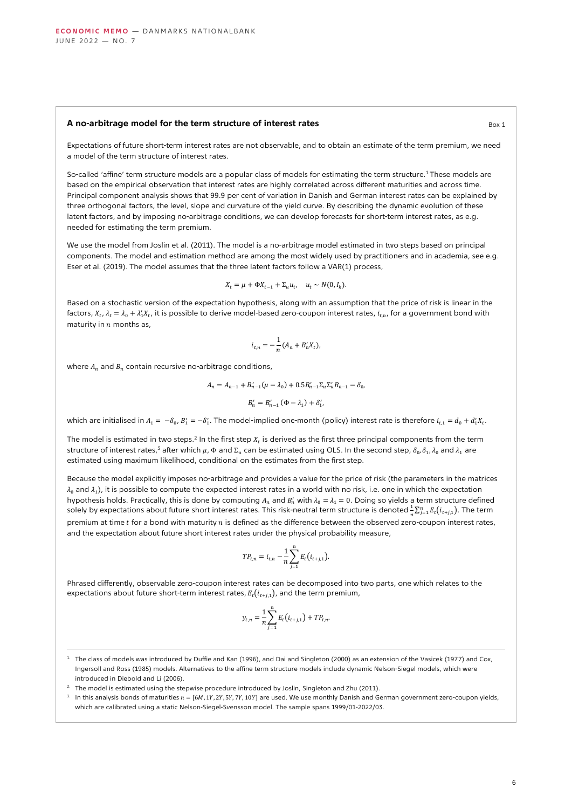#### **A no-arbitrage model for the term structure of interest rates** Box 1

Expectations of future short-term interest rates are not observable, and to obtain an estimate of the term premium, we need a model of the term structure of interest rates.

So-called 'affine' term structure models are a popular class of models for estimating the term structure.<sup>1</sup> These models are based on the empirical observation that interest rates are highly correlated across different maturities and across time. Principal component analysis shows that 99.9 per cent of variation in Danish and German interest rates can be explained by three orthogonal factors, the level, slope and curvature of the yield curve. By describing the dynamic evolution of these latent factors, and by imposing no-arbitrage conditions, we can develop forecasts for short-term interest rates, as e.g. needed for estimating the term premium.

We use the model from Joslin et al. (2011). The model is a no-arbitrage model estimated in two steps based on principal components. The model and estimation method are among the most widely used by practitioners and in academia, see e.g. Eser et al. (2019). The model assumes that the three latent factors follow a VAR(1) process,

$$
X_t = \mu + \Phi X_{t-1} + \Sigma_u u_t, \quad u_t \sim N(0, I_k).
$$

Based on a stochastic version of the expectation hypothesis, along with an assumption that the price of risk is linear in the factors,  $X_t$ ,  $\lambda_t=\lambda_0+\lambda'_1X_t$ , it is possible to derive model-based zero-coupon interest rates,  $i_{t,n}$ , for a government bond with maturity in  $n$  months as,

$$
i_{t,n} = -\frac{1}{n}(A_n + B'_n X_t),
$$

where  $A_n$  and  $B_n$  contain recursive no-arbitrage conditions,

$$
A_n = A_{n-1} + B'_{n-1}(\mu - \lambda_0) + 0.5B'_{n-1}\Sigma_u\Sigma'_uB_{n-1} - \delta_0,
$$
  

$$
B'_n = B'_{n-1}(\Phi - \lambda_1) + \delta'_1,
$$

which are initialised in  $A_1 = -\delta_0$ ,  $B'_1 = -\delta'_1$ . The model-implied one-month (policy) interest rate is therefore  $i_{t,1} = d_0 + d'_1 X_t$ .

The model is estimated in two steps.<sup>2</sup> In the first step  $X_t$  is derived as the first three principal components from the term structure of interest rates, $^3$  after which  $\mu$ ,  $\Phi$  and  $\Sigma_u$  can be estimated using OLS. In the second step,  $\delta_0$ ,  $\delta_1$ ,  $\lambda_0$  and  $\lambda_1$  are estimated using maximum likelihood, conditional on the estimates from the first step.

Because the model explicitly imposes no-arbitrage and provides a value for the price of risk (the parameters in the matrices  $\lambda_0$  and  $\lambda_1$ ), it is possible to compute the expected interest rates in a world with no risk, i.e. one in which the expectation hypothesis holds. Practically, this is done by computing  $A_n$  and  $B'_n$  with  $\lambda_0 = \lambda_1 = 0$ . Doing so yields a term structure defined solely by expectations about future short interest rates. This risk-neutral term structure is denoted  $\frac{1}{n}\sum_{j=1}^nE_t(i_{t+j,1})$ . The term premium at time  $t$  for a bond with maturity  $n$  is defined as the difference between the observed zero-coupon interest rates, and the expectation about future short interest rates under the physical probability measure,

$$
TP_{t,n} = i_{t,n} - \frac{1}{n} \sum_{j=1}^{n} E_t(i_{t+j,1}).
$$

Phrased differently, observable zero-coupon interest rates can be decomposed into two parts, one which relates to the expectations about future short-term interest rates,  $E_t(i_{t+i,1})$ , and the term premium,

$$
y_{t,n} = \frac{1}{n} \sum_{j=1}^{n} E_t(i_{t+j,1}) + T P_{t,n}.
$$

- <sup>2.</sup> The model is estimated using the stepwise procedure introduced by Joslin, Singleton and Zhu (2011).
- $3.$  In this analysis bonds of maturities  $n = [6M, 1Y, 2Y, 5Y, 7Y, 10Y]$  are used. We use monthly Danish and German government zero-coupon yields, which are calibrated using a static Nelson-Siegel-Svensson model. The sample spans 1999/01-2022/03.

 $1$ . The class of models was introduced by Duffie and Kan (1996), and Dai and Singleton (2000) as an extension of the Vasicek (1977) and Cox, Ingersoll and Ross (1985) models. Alternatives to the affine term structure models include dynamic Nelson-Siegel models, which were introduced in Diebold and Li (2006).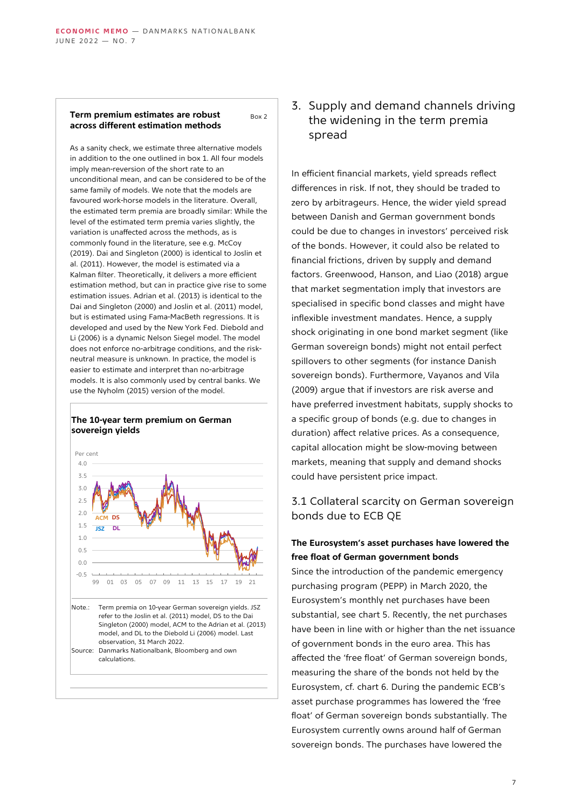#### **Term premium estimates are robust across different estimation methods** Box 2

As a sanity check, we estimate three alternative models in addition to the one outlined in box 1. All four models imply mean-reversion of the short rate to an unconditional mean, and can be considered to be of the same family of models. We note that the models are favoured work-horse models in the literature. Overall, the estimated term premia are broadly similar: While the level of the estimated term premia varies slightly, the variation is unaffected across the methods, as is commonly found in the literature, see e.g. McCoy (2019). Dai and Singleton (2000) is identical to Joslin et al. (2011). However, the model is estimated via a Kalman filter. Theoretically, it delivers a more efficient estimation method, but can in practice give rise to some estimation issues. Adrian et al. (2013) is identical to the Dai and Singleton (2000) and Joslin et al. (2011) model, but is estimated using Fama-MacBeth regressions. It is developed and used by the New York Fed. Diebold and Li (2006) is a dynamic Nelson Siegel model. The model does not enforce no-arbitrage conditions, and the riskneutral measure is unknown. In practice, the model is easier to estimate and interpret than no-arbitrage models. It is also commonly used by central banks. We use the Nyholm (2015) version of the model.

#### **The 10-year term premium on German sovereign yields**



## 3. Supply and demand channels driving the widening in the term premia spread

In efficient financial markets, yield spreads reflect differences in risk. If not, they should be traded to zero by arbitrageurs. Hence, the wider yield spread between Danish and German government bonds could be due to changes in investors' perceived risk of the bonds. However, it could also be related to financial frictions, driven by supply and demand factors. Greenwood, Hanson, and Liao (2018) argue that market segmentation imply that investors are specialised in specific bond classes and might have inflexible investment mandates. Hence, a supply shock originating in one bond market segment (like German sovereign bonds) might not entail perfect spillovers to other segments (for instance Danish sovereign bonds). Furthermore, Vayanos and Vila (2009) argue that if investors are risk averse and have preferred investment habitats, supply shocks to a specific group of bonds (e.g. due to changes in duration) affect relative prices. As a consequence, capital allocation might be slow-moving between markets, meaning that supply and demand shocks could have persistent price impact.

## 3.1 Collateral scarcity on German sovereign bonds due to ECB QE

## **The Eurosystem's asset purchases have lowered the free float of German government bonds**

Since the introduction of the pandemic emergency purchasing program (PEPP) in March 2020, the Eurosystem's monthly net purchases have been substantial, see chart 5. Recently, the net purchases have been in line with or higher than the net issuance of government bonds in the euro area. This has affected the 'free float' of German sovereign bonds, measuring the share of the bonds not held by the Eurosystem, cf. chart 6. During the pandemic ECB's asset purchase programmes has lowered the 'free float' of German sovereign bonds substantially. The Eurosystem currently owns around half of German sovereign bonds. The purchases have lowered the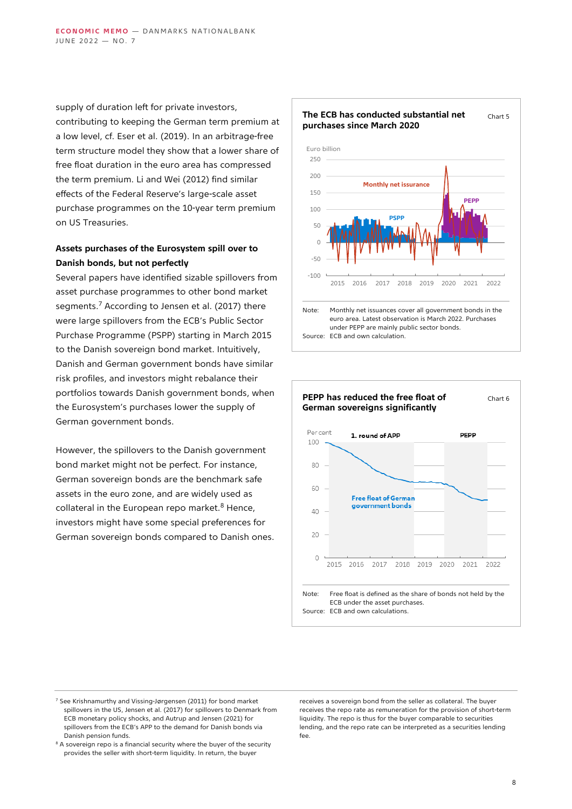supply of duration left for private investors, contributing to keeping the German term premium at a low level, cf. Eser et al. (2019). In an arbitrage-free term structure model they show that a lower share of free float duration in the euro area has compressed the term premium. Li and Wei (2012) find similar effects of the Federal Reserve's large-scale asset purchase programmes on the 10-year term premium on US Treasuries.

## **Assets purchases of the Eurosystem spill over to Danish bonds, but not perfectly**

Several papers have identified sizable spillovers from asset purchase programmes to other bond market segments.<sup>7</sup> According to Jensen et al. (2017) there were large spillovers from the ECB's Public Sector Purchase Programme (PSPP) starting in March 2015 to the Danish sovereign bond market. Intuitively, Danish and German government bonds have similar risk profiles, and investors might rebalance their portfolios towards Danish government bonds, when the Eurosystem's purchases lower the supply of German government bonds.

However, the spillovers to the Danish government bond market might not be perfect. For instance, German sovereign bonds are the benchmark safe assets in the euro zone, and are widely used as collateral in the European repo market. $8$  Hence, investors might have some special preferences for German sovereign bonds compared to Danish ones.





- $<sup>7</sup>$  See Krishnamurthy and Vissing-Jørgensen (2011) for bond market</sup> spillovers in the US, Jensen et al. (2017) for spillovers to Denmark from ECB monetary policy shocks, and Autrup and Jensen (2021) for spillovers from the ECB's APP to the demand for Danish bonds via Danish pension funds.
- <sup>8</sup> A sovereign repo is a financial security where the buyer of the security provides the seller with short-term liquidity. In return, the buyer

receives a sovereign bond from the seller as collateral. The buyer receives the repo rate as remuneration for the provision of short-term liquidity. The repo is thus for the buyer comparable to securities lending, and the repo rate can be interpreted as a securities lending fee.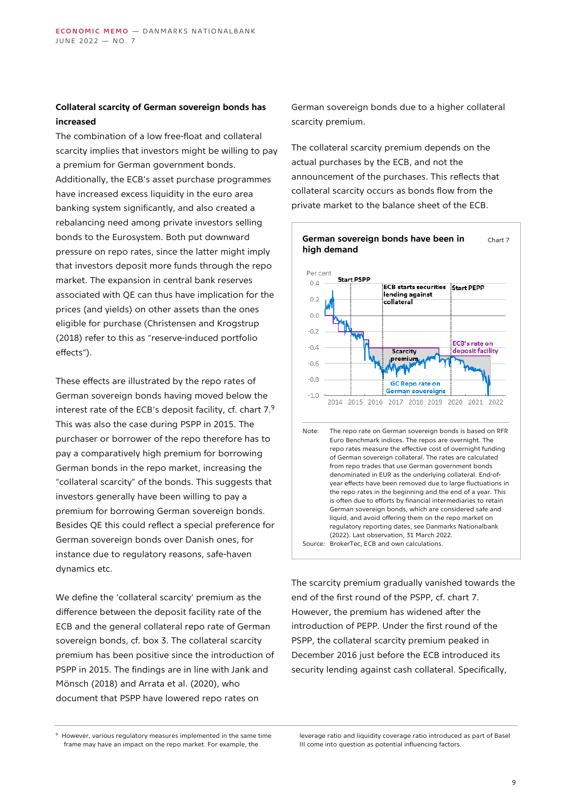## **Collateral scarcity of German sovereign bonds has increased**

The combination of a low free-float and collateral scarcity implies that investors might be willing to pay a premium for German government bonds. Additionally, the ECB's asset purchase programmes have increased excess liquidity in the euro area banking system significantly, and also created a rebalancing need among private investors selling bonds to the Eurosystem. Both put downward pressure on repo rates, since the latter might imply that investors deposit more funds through the repo market. The expansion in central bank reserves associated with QE can thus have implication for the prices (and yields) on other assets than the ones eligible for purchase (Christensen and Krogstrup (2018) refer to this as "reserve-induced portfolio effects").

These effects are illustrated by the repo rates of German sovereign bonds having moved below the interest rate of the ECB's deposit facility, cf. chart 7.<sup>9</sup> This was also the case during PSPP in 2015. The purchaser or borrower of the repo therefore has to pay a comparatively high premium for borrowing German bonds in the repo market, increasing the "collateral scarcity" of the bonds. This suggests that investors generally have been willing to pay a premium for borrowing German sovereign bonds. Besides QE this could reflect a special preference for German sovereign bonds over Danish ones, for instance due to regulatory reasons, safe-haven dynamics etc.

We define the 'collateral scarcity' premium as the difference between the deposit facility rate of the ECB and the general collateral repo rate of German sovereign bonds, cf. box 3. The collateral scarcity premium has been positive since the introduction of PSPP in 2015. The findings are in line with Jank and Mönsch (2018) and Arrata et al. (2020), who document that PSPP have lowered repo rates on

German sovereign bonds due to a higher collateral scarcity premium.

The collateral scarcity premium depends on the actual purchases by the ECB, and not the announcement of the purchases. This reflects that collateral scarcity occurs as bonds flow from the private market to the balance sheet of the ECB.



The scarcity premium gradually vanished towards the end of the first round of the PSPP, cf. chart 7. However, the premium has widened after the introduction of PEPP. Under the first round of the PSPP, the collateral scarcity premium peaked in December 2016 just before the ECB introduced its security lending against cash collateral. Specifically,

<sup>9</sup> However, various regulatory measures implemented in the same time frame may have an impact on the repo market. For example, the

leverage ratio and liquidity coverage ratio introduced as part of Basel III come into question as potential influencing factors.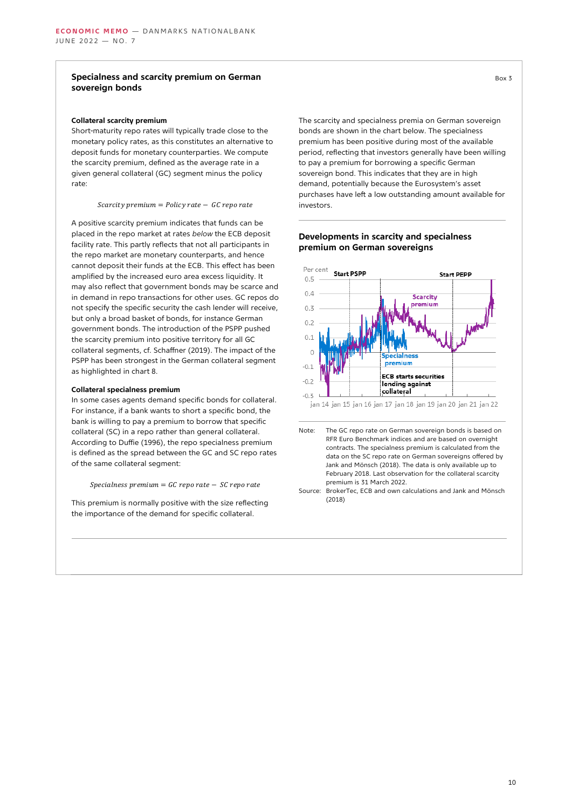#### **Specialness and scarcity premium on German sovereign bonds**

#### **Collateral scarcity premium**

Short-maturity repo rates will typically trade close to the monetary policy rates, as this constitutes an alternative to deposit funds for monetary counterparties. We compute the scarcity premium, defined as the average rate in a given general collateral (GC) segment minus the policy rate:

Scarcity premium =  $P$ olicy rate - GC repo rate

A positive scarcity premium indicates that funds can be placed in the repo market at rates *below* the ECB deposit facility rate. This partly reflects that not all participants in the repo market are monetary counterparts, and hence cannot deposit their funds at the ECB. This effect has been amplified by the increased euro area excess liquidity. It may also reflect that government bonds may be scarce and in demand in repo transactions for other uses. GC repos do not specify the specific security the cash lender will receive, but only a broad basket of bonds, for instance German government bonds. The introduction of the PSPP pushed the scarcity premium into positive territory for all GC collateral segments, cf. Schaffner (2019). The impact of the PSPP has been strongest in the German collateral segment as highlighted in chart 8.

#### **Collateral specialness premium**

In some cases agents demand specific bonds for collateral. For instance, if a bank wants to short a specific bond, the bank is willing to pay a premium to borrow that specific collateral (SC) in a repo rather than general collateral. According to Duffie (1996), the repo specialness premium is defined as the spread between the GC and SC repo rates of the same collateral segment:

 $Specialness$  premium = GC repo rate - SC repo rate

This premium is normally positive with the size reflecting the importance of the demand for specific collateral.

The scarcity and specialness premia on German sovereign bonds are shown in the chart below. The specialness premium has been positive during most of the available period, reflecting that investors generally have been willing to pay a premium for borrowing a specific German sovereign bond. This indicates that they are in high demand, potentially because the Eurosystem's asset purchases have left a low outstanding amount available for investors.

#### **Developments in scarcity and specialness premium on German sovereigns**



RFR Euro Benchmark indices and are based on overnight contracts. The specialness premium is calculated from the data on the SC repo rate on German sovereigns offered by Jank and Mönsch (2018). The data is only available up to February 2018. Last observation for the collateral scarcity premium is 31 March 2022.

Source: BrokerTec, ECB and own calculations and Jank and Mönsch (2018)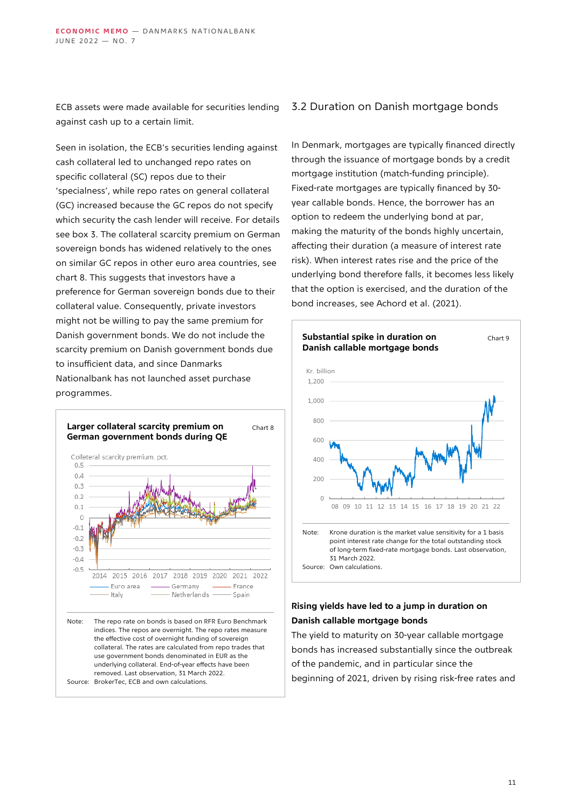ECB assets were made available for securities lending against cash up to a certain limit.

Seen in isolation, the ECB's securities lending against cash collateral led to unchanged repo rates on specific collateral (SC) repos due to their 'specialness', while repo rates on general collateral (GC) increased because the GC repos do not specify which security the cash lender will receive. For details see box 3. The collateral scarcity premium on German sovereign bonds has widened relatively to the ones on similar GC repos in other euro area countries, see chart 8. This suggests that investors have a preference for German sovereign bonds due to their collateral value. Consequently, private investors might not be willing to pay the same premium for Danish government bonds. We do not include the scarcity premium on Danish government bonds due to insufficient data, and since Danmarks Nationalbank has not launched asset purchase programmes.



## 3.2 Duration on Danish mortgage bonds

In Denmark, mortgages are typically financed directly through the issuance of mortgage bonds by a credit mortgage institution (match-funding principle). Fixed-rate mortgages are typically financed by 30 year callable bonds. Hence, the borrower has an option to redeem the underlying bond at par, making the maturity of the bonds highly uncertain, affecting their duration (a measure of interest rate risk). When interest rates rise and the price of the underlying bond therefore falls, it becomes less likely that the option is exercised, and the duration of the bond increases, see Achord et al. (2021).



## **Rising yields have led to a jump in duration on Danish callable mortgage bonds**

The yield to maturity on 30-year callable mortgage bonds has increased substantially since the outbreak of the pandemic, and in particular since the beginning of 2021, driven by rising risk-free rates and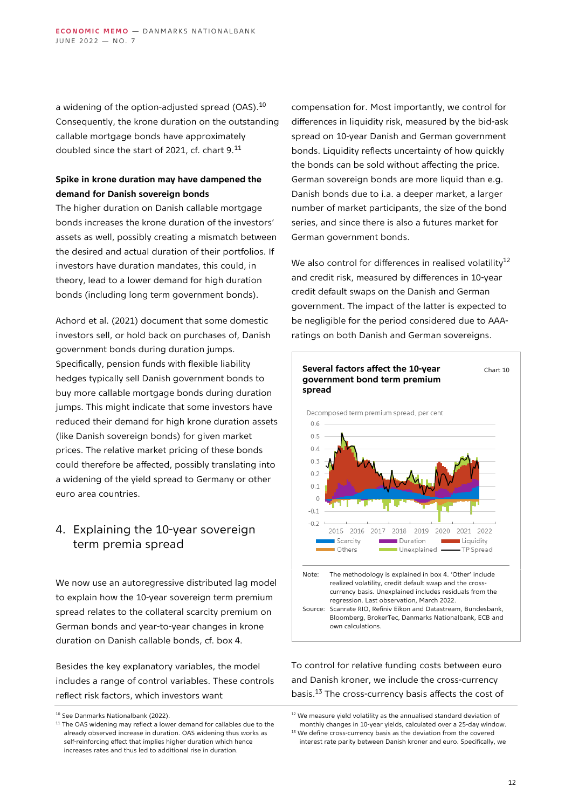a widening of the option-adjusted spread (OAS).<sup>10</sup> Consequently, the krone duration on the outstanding callable mortgage bonds have approximately doubled since the start of 2021, cf. chart 9.<sup>11</sup>

## **Spike in krone duration may have dampened the demand for Danish sovereign bonds**

The higher duration on Danish callable mortgage bonds increases the krone duration of the investors' assets as well, possibly creating a mismatch between the desired and actual duration of their portfolios. If investors have duration mandates, this could, in theory, lead to a lower demand for high duration bonds (including long term government bonds).

Achord et al. (2021) document that some domestic investors sell, or hold back on purchases of, Danish government bonds during duration jumps. Specifically, pension funds with flexible liability hedges typically sell Danish government bonds to buy more callable mortgage bonds during duration jumps. This might indicate that some investors have reduced their demand for high krone duration assets (like Danish sovereign bonds) for given market prices. The relative market pricing of these bonds could therefore be affected, possibly translating into a widening of the yield spread to Germany or other euro area countries.

## 4. Explaining the 10-year sovereign term premia spread

We now use an autoregressive distributed lag model to explain how the 10-year sovereign term premium spread relates to the collateral scarcity premium on German bonds and year-to-year changes in krone duration on Danish callable bonds, cf. box 4.

Besides the key explanatory variables, the model includes a range of control variables. These controls reflect risk factors, which investors want

compensation for. Most importantly, we control for differences in liquidity risk, measured by the bid-ask spread on 10-year Danish and German government bonds. Liquidity reflects uncertainty of how quickly the bonds can be sold without affecting the price. German sovereign bonds are more liquid than e.g. Danish bonds due to i.a. a deeper market, a larger number of market participants, the size of the bond series, and since there is also a futures market for German government bonds.

We also control for differences in realised volatility $12$ and credit risk, measured by differences in 10-year credit default swaps on the Danish and German government. The impact of the latter is expected to be negligible for the period considered due to AAAratings on both Danish and German sovereigns.



To control for relative funding costs between euro and Danish kroner, we include the cross-currency basis.<sup>13</sup> The cross-currency basis affects the cost of

<sup>&</sup>lt;sup>10</sup> See Danmarks Nationalbank (2022).

 $11$  The OAS widening may reflect a lower demand for callables due to the already observed increase in duration. OAS widening thus works as self-reinforcing effect that implies higher duration which hence increases rates and thus led to additional rise in duration.

 $12$  We measure yield volatility as the annualised standard deviation of monthly changes in 10-year yields, calculated over a 25-day window.

<sup>&</sup>lt;sup>13</sup> We define cross-currency basis as the deviation from the covered interest rate parity between Danish kroner and euro. Specifically, we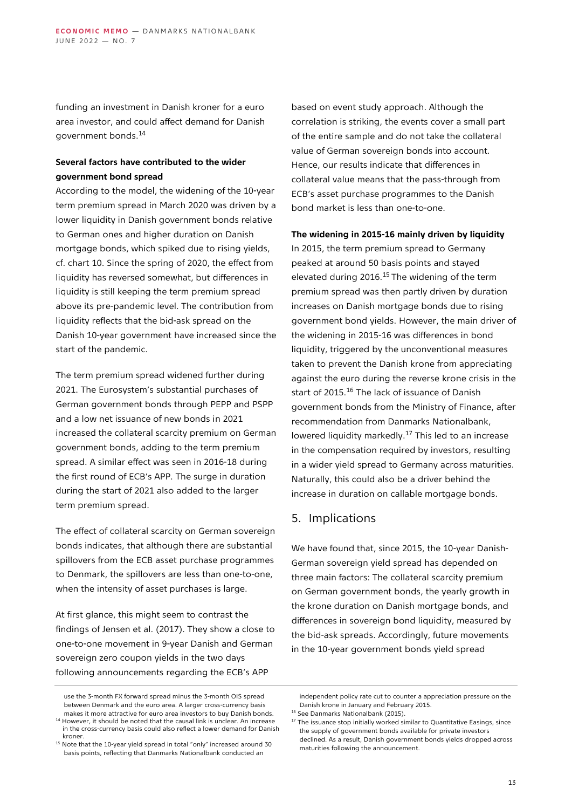funding an investment in Danish kroner for a euro area investor, and could affect demand for Danish government bonds.<sup>14</sup>

## **Several factors have contributed to the wider government bond spread**

According to the model, the widening of the 10-year term premium spread in March 2020 was driven by a lower liquidity in Danish government bonds relative to German ones and higher duration on Danish mortgage bonds, which spiked due to rising yields, cf. chart 10. Since the spring of 2020, the effect from liquidity has reversed somewhat, but differences in liquidity is still keeping the term premium spread above its pre-pandemic level. The contribution from liquidity reflects that the bid-ask spread on the Danish 10-year government have increased since the start of the pandemic.

The term premium spread widened further during 2021. The Eurosystem's substantial purchases of German government bonds through PEPP and PSPP and a low net issuance of new bonds in 2021 increased the collateral scarcity premium on German government bonds, adding to the term premium spread. A similar effect was seen in 2016-18 during the first round of ECB's APP. The surge in duration during the start of 2021 also added to the larger term premium spread.

The effect of collateral scarcity on German sovereign bonds indicates, that although there are substantial spillovers from the ECB asset purchase programmes to Denmark, the spillovers are less than one-to-one, when the intensity of asset purchases is large.

At first glance, this might seem to contrast the findings of Jensen et al. (2017). They show a close to one-to-one movement in 9-year Danish and German sovereign zero coupon yields in the two days following announcements regarding the ECB's APP

based on event study approach. Although the correlation is striking, the events cover a small part of the entire sample and do not take the collateral value of German sovereign bonds into account. Hence, our results indicate that differences in collateral value means that the pass-through from ECB's asset purchase programmes to the Danish bond market is less than one-to-one.

#### **The widening in 2015-16 mainly driven by liquidity**

In 2015, the term premium spread to Germany peaked at around 50 basis points and stayed elevated during 2016.<sup>15</sup> The widening of the term premium spread was then partly driven by duration increases on Danish mortgage bonds due to rising government bond yields. However, the main driver of the widening in 2015-16 was differences in bond liquidity, triggered by the unconventional measures taken to prevent the Danish krone from appreciating against the euro during the reverse krone crisis in the start of 2015.<sup>16</sup> The lack of issuance of Danish government bonds from the Ministry of Finance, after recommendation from Danmarks Nationalbank, lowered liquidity markedly.<sup>17</sup> This led to an increase in the compensation required by investors, resulting in a wider yield spread to Germany across maturities. Naturally, this could also be a driver behind the increase in duration on callable mortgage bonds.

## 5. Implications

We have found that, since 2015, the 10-year Danish-German sovereign yield spread has depended on three main factors: The collateral scarcity premium on German government bonds, the yearly growth in the krone duration on Danish mortgage bonds, and differences in sovereign bond liquidity, measured by the bid-ask spreads. Accordingly, future movements in the 10-year government bonds yield spread

use the 3-month FX forward spread minus the 3-month OIS spread between Denmark and the euro area. A larger cross-currency basis makes it more attractive for euro area investors to buy Danish bonds.

<sup>14</sup> However, it should be noted that the causal link is unclear. An increase in the cross-currency basis could also reflect a lower demand for Danish kroner.

<sup>&</sup>lt;sup>15</sup> Note that the 10-year yield spread in total "only" increased around 30 basis points, reflecting that Danmarks Nationalbank conducted an

independent policy rate cut to counter a appreciation pressure on the Danish krone in January and February 2015.

<sup>&</sup>lt;sup>16</sup> See Danmarks Nationalbank (2015).

 $17$  The issuance stop initially worked similar to Quantitative Easings, since the supply of government bonds available for private investors declined. As a result, Danish government bonds yields dropped across maturities following the announcement.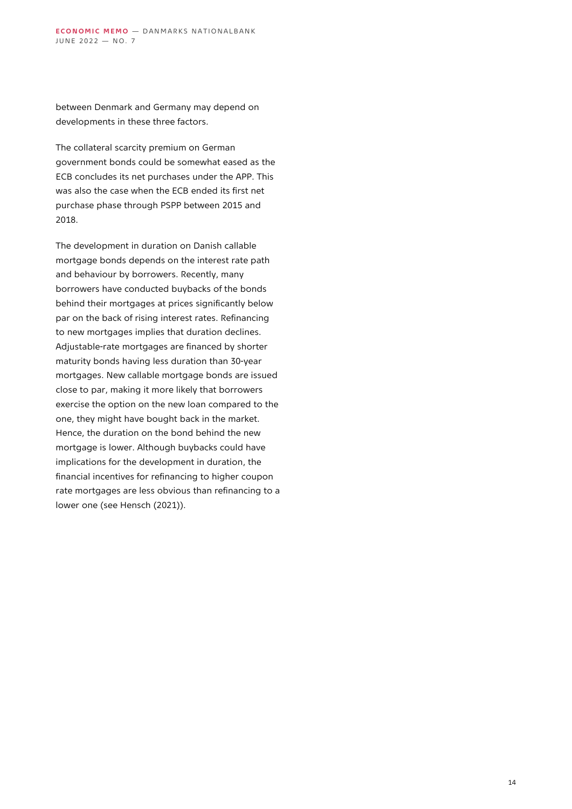between Denmark and Germany may depend on developments in these three factors.

The collateral scarcity premium on German government bonds could be somewhat eased as the ECB concludes its net purchases under the APP. This was also the case when the ECB ended its first net purchase phase through PSPP between 2015 and 2018.

The development in duration on Danish callable mortgage bonds depends on the interest rate path and behaviour by borrowers. Recently, many borrowers have conducted buybacks of the bonds behind their mortgages at prices significantly below par on the back of rising interest rates. Refinancing to new mortgages implies that duration declines. Adjustable-rate mortgages are financed by shorter maturity bonds having less duration than 30-year mortgages. New callable mortgage bonds are issued close to par, making it more likely that borrowers exercise the option on the new loan compared to the one, they might have bought back in the market. Hence, the duration on the bond behind the new mortgage is lower. Although buybacks could have implications for the development in duration, the financial incentives for refinancing to higher coupon rate mortgages are less obvious than refinancing to a lower one (see Hensch (2021)).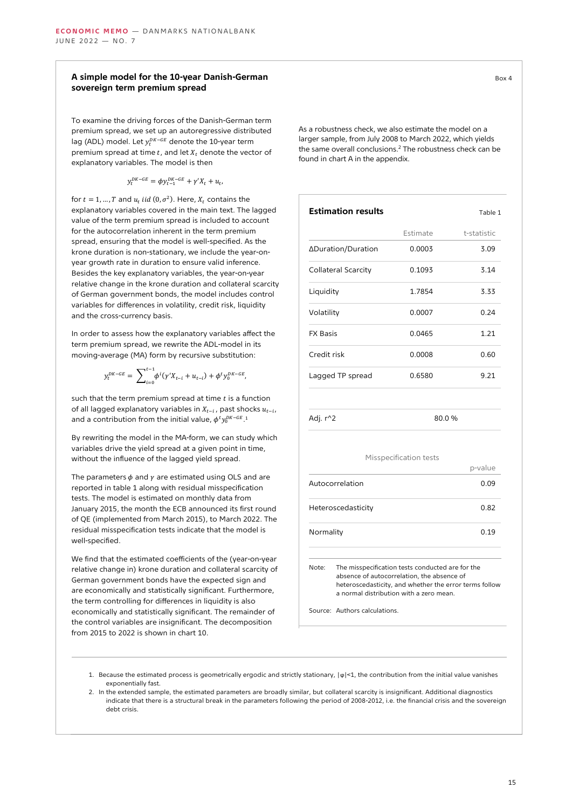#### **A simple model for the 10-year Danish-German sovereign term premium spread**

To examine the driving forces of the Danish-German term premium spread, we set up an autoregressive distributed lag (ADL) model. Let  $y_t^{DK-GE}$  denote the 10-year term premium spread at time  $t$ , and let  $X_t$  denote the vector of explanatory variables. The model is then

$$
y_t^{DK-GE} = \phi y_{t-1}^{DK-GE} + \gamma' X_t + u_t,
$$

for  $t = 1, ..., T$  and  $u_t$  iid  $(0, \sigma^2)$ . Here,  $X_t$  contains the explanatory variables covered in the main text. The lagged value of the term premium spread is included to account for the autocorrelation inherent in the term premium spread, ensuring that the model is well-specified. As the krone duration is non-stationary, we include the year-onyear growth rate in duration to ensure valid inference. Besides the key explanatory variables, the year-on-year relative change in the krone duration and collateral scarcity of German government bonds, the model includes control variables for differences in volatility, credit risk, liquidity and the cross-currency basis.

In order to assess how the explanatory variables affect the term premium spread, we rewrite the ADL-model in its moving-average (MA) form by recursive substitution:

$$
y_t^{DK-GE} = \sum_{i=0}^{t-1} \phi^i (\gamma' X_{t-i} + u_{t-i}) + \phi^t y_0^{DK-GE},
$$

such that the term premium spread at time  $t$  is a function of all lagged explanatory variables in  $X_{t-i}$  , past shocks  $u_{t-i}$  , and a contribution from the initial value,  $\phi^t y_0^{DK-GE}$  1

By rewriting the model in the MA-form, we can study which variables drive the yield spread at a given point in time, without the influence of the lagged yield spread.

The parameters  $\phi$  and  $\gamma$  are estimated using OLS and are reported in table 1 along with residual misspecification tests. The model is estimated on monthly data from January 2015, the month the ECB announced its first round of QE (implemented from March 2015), to March 2022. The residual misspecification tests indicate that the model is well-specified.

We find that the estimated coefficients of the (year-on-year relative change in) krone duration and collateral scarcity of German government bonds have the expected sign and are economically and statistically significant. Furthermore, the term controlling for differences in liquidity is also economically and statistically significant. The remainder of the control variables are insignificant. The decomposition from 2015 to 2022 is shown in chart 10.

| ٠<br>I<br>. .<br>× |  |
|--------------------|--|
|                    |  |

As a robustness check, we also estimate the model on a larger sample, from July 2008 to March 2022, which yields the same overall conclusions.<sup>2</sup> The robustness check can be found in chart A in the appendix.

| <b>Estimation results</b> |          | Table 1     |
|---------------------------|----------|-------------|
|                           | Estimate | t-statistic |
| ∆Duration/Duration        | 0.0003   | 3.09        |
| Collateral Scarcity       | 0.1093   | 3.14        |
| Liquidity                 | 1.7854   | 3.33        |
| Volatility                | 0.0007   | 0.24        |
| <b>FX Basis</b>           | 0.0465   | 1.21        |
| Credit risk               | 0.0008   | 0.60        |
| Lagged TP spread          | 0.6580   | 9.21        |
| Adj. r^2                  | 80.0%    |             |

#### Misspecification tests

|                                                           | p-value |
|-----------------------------------------------------------|---------|
| Autocorrelation                                           | 0.09    |
| Heteroscedasticity                                        | 0.82    |
| Normality                                                 | 0.19    |
|                                                           |         |
| The misspecification tests conducted are for the<br>Note: |         |

absence of autocorrelation, the absence of heteroscedasticity, and whether the error terms follow a normal distribution with a zero mean.

Source: Authors calculations.

- 1. Because the estimated process is geometrically ergodic and strictly stationary, |ϕ|<1, the contribution from the initial value vanishes exponentially fast.
- 2. In the extended sample, the estimated parameters are broadly similar, but collateral scarcity is insignificant. Additional diagnostics indicate that there is a structural break in the parameters following the period of 2008-2012, i.e. the financial crisis and the sovereign debt crisis.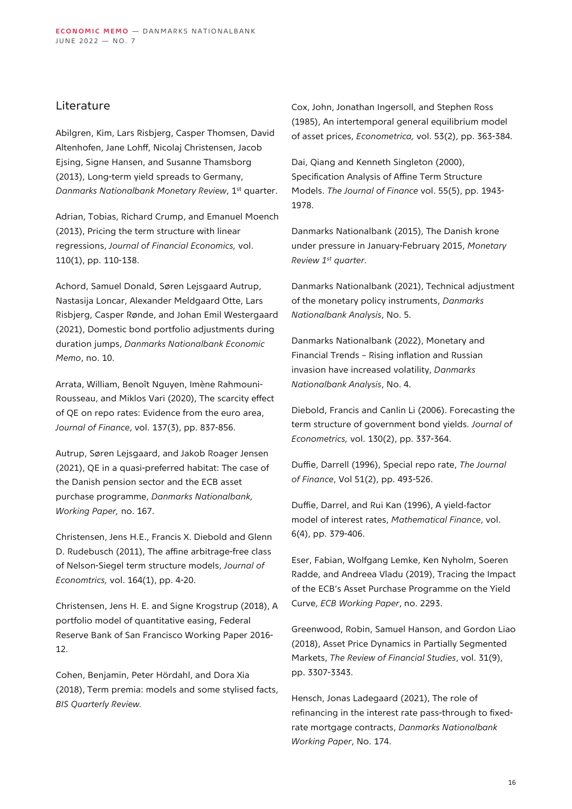## Literature

Abilgren, Kim, Lars Risbjerg, Casper Thomsen, David Altenhofen, Jane Lohff, Nicolaj Christensen, Jacob Ejsing, Signe Hansen, and Susanne Thamsborg (2013), Long-term yield spreads to Germany, *Danmarks Nationalbank Monetary Review*, 1st quarter.

Adrian, Tobias, Richard Crump, and Emanuel Moench (2013), Pricing the term structure with linear regressions, *Journal of Financial Economics,* vol. 110(1), pp. 110-138.

Achord, Samuel Donald, Søren Lejsgaard Autrup, Nastasija Loncar, Alexander Meldgaard Otte, Lars Risbjerg, Casper Rønde, and Johan Emil Westergaard (2021), Domestic bond portfolio adjustments during duration jumps, *Danmarks Nationalbank Economic Memo*, no. 10.

Arrata, William, Benoît Nguyen, Imène Rahmouni-Rousseau, and Miklos Vari (2020), The scarcity effect of QE on repo rates: Evidence from the euro area, *Journal of Finance*, vol. 137(3), pp. 837-856.

Autrup, Søren Lejsgaard, and Jakob Roager Jensen (2021), QE in a quasi-preferred habitat: The case of the Danish pension sector and the ECB asset purchase programme, *Danmarks Nationalbank, Working Paper,* no. 167.

Christensen, Jens H.E., Francis X. Diebold and Glenn D. Rudebusch (2011), The affine arbitrage-free class of Nelson-Siegel term structure models, *Journal of Economtrics,* vol. 164(1), pp. 4-20.

Christensen, Jens H. E. and Signe Krogstrup (2018), A portfolio model of quantitative easing, Federal Reserve Bank of San Francisco Working Paper 2016- 12.

Cohen, Benjamin, Peter Hördahl, and Dora Xia (2018), Term premia: models and some stylised facts, *BIS Quarterly Review.*

Cox, John, Jonathan Ingersoll, and Stephen Ross (1985), An intertemporal general equilibrium model of asset prices, *Econometrica,* vol. 53(2), pp. 363-384.

Dai, Qiang and Kenneth Singleton (2000), Specification Analysis of Affine Term Structure Models. *The Journal of Finance* vol. 55(5), pp. 1943- 1978.

Danmarks Nationalbank (2015), The Danish krone under pressure in January-February 2015, *Monetary Review 1st quarter*.

Danmarks Nationalbank (2021), Technical adjustment of the monetary policy instruments, *Danmarks Nationalbank Analysis*, No. 5.

Danmarks Nationalbank (2022), Monetary and Financial Trends – Rising inflation and Russian invasion have increased volatility, *Danmarks Nationalbank Analysis*, No. 4.

Diebold, Francis and Canlin Li (2006). Forecasting the term structure of government bond yields. *Journal of Econometrics,* vol. 130(2), pp. 337-364.

Duffie, Darrell (1996), Special repo rate, *The Journal of Finance*, Vol 51(2), pp. 493-526.

Duffie, Darrel, and Rui Kan (1996), A yield‐factor model of interest rates, *Mathematical Finance*, vol. 6(4), pp. 379-406.

Eser, Fabian, Wolfgang Lemke, Ken Nyholm, Soeren Radde, and Andreea Vladu (2019), Tracing the Impact of the ECB's Asset Purchase Programme on the Yield Curve, *ECB Working Paper*, no. 2293.

Greenwood, Robin, Samuel Hanson, and Gordon Liao (2018), Asset Price Dynamics in Partially Segmented Markets, *The Review of Financial Studies*, vol. 31(9), pp. 3307-3343.

Hensch, Jonas Ladegaard (2021), The role of refinancing in the interest rate pass-through to fixedrate mortgage contracts, *Danmarks Nationalbank Working Paper*, No. 174.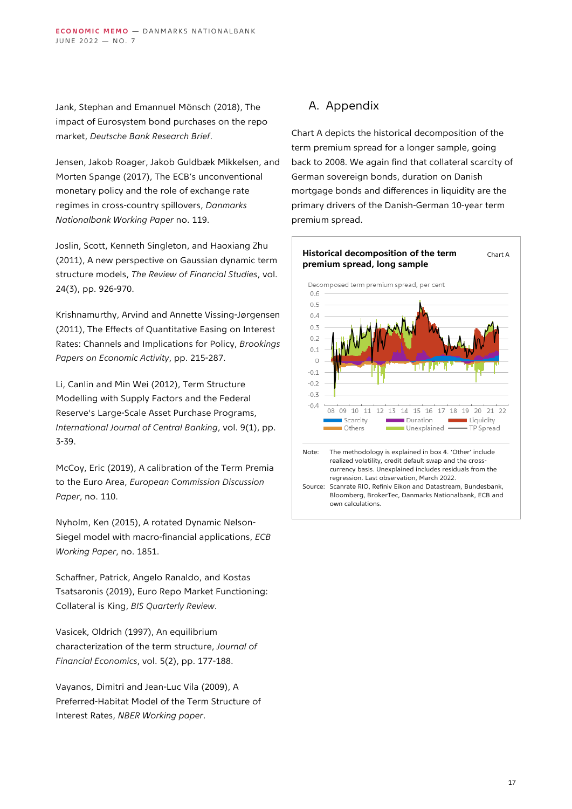Jank, Stephan and Emannuel Mönsch (2018), The impact of Eurosystem bond purchases on the repo market, *Deutsche Bank Research Brief*.

Jensen, Jakob Roager, Jakob Guldbæk Mikkelsen, and Morten Spange (2017), The ECB's unconventional monetary policy and the role of exchange rate regimes in cross-country spillovers, *Danmarks Nationalbank Working Paper* no. 119.

Joslin, Scott, Kenneth Singleton, and Haoxiang Zhu (2011), A new perspective on Gaussian dynamic term structure models, *The Review of Financial Studies*, vol. 24(3), pp. 926-970.

Krishnamurthy, Arvind and Annette Vissing-Jørgensen (2011), The Effects of Quantitative Easing on Interest Rates: Channels and Implications for Policy, *Brookings Papers on Economic Activity*, pp. 215-287.

Li, Canlin and Min Wei (2012), Term Structure Modelling with Supply Factors and the Federal Reserve's Large-Scale Asset Purchase Programs, *International Journal of Central Banking*, vol. 9(1), pp. 3-39.

McCoy, Eric (2019), A calibration of the Term Premia to the Euro Area, *European Commission Discussion Paper*, no. 110.

Nyholm, Ken (2015), A rotated Dynamic Nelson-Siegel model with macro-financial applications, *ECB Working Paper*, no. 1851.

Schaffner, Patrick, Angelo Ranaldo, and Kostas Tsatsaronis (2019), Euro Repo Market Functioning: Collateral is King, *BIS Quarterly Review*.

Vasicek, Oldrich (1997), An equilibrium characterization of the term structure, *Journal of Financial Economics*, vol. 5(2), pp. 177-188.

Vayanos, Dimitri and Jean-Luc Vila (2009), A Preferred-Habitat Model of the Term Structure of Interest Rates, *NBER Working paper*.

## A. Appendix

Chart A depicts the historical decomposition of the term premium spread for a longer sample, going back to 2008. We again find that collateral scarcity of German sovereign bonds, duration on Danish mortgage bonds and differences in liquidity are the primary drivers of the Danish-German 10-year term premium spread.